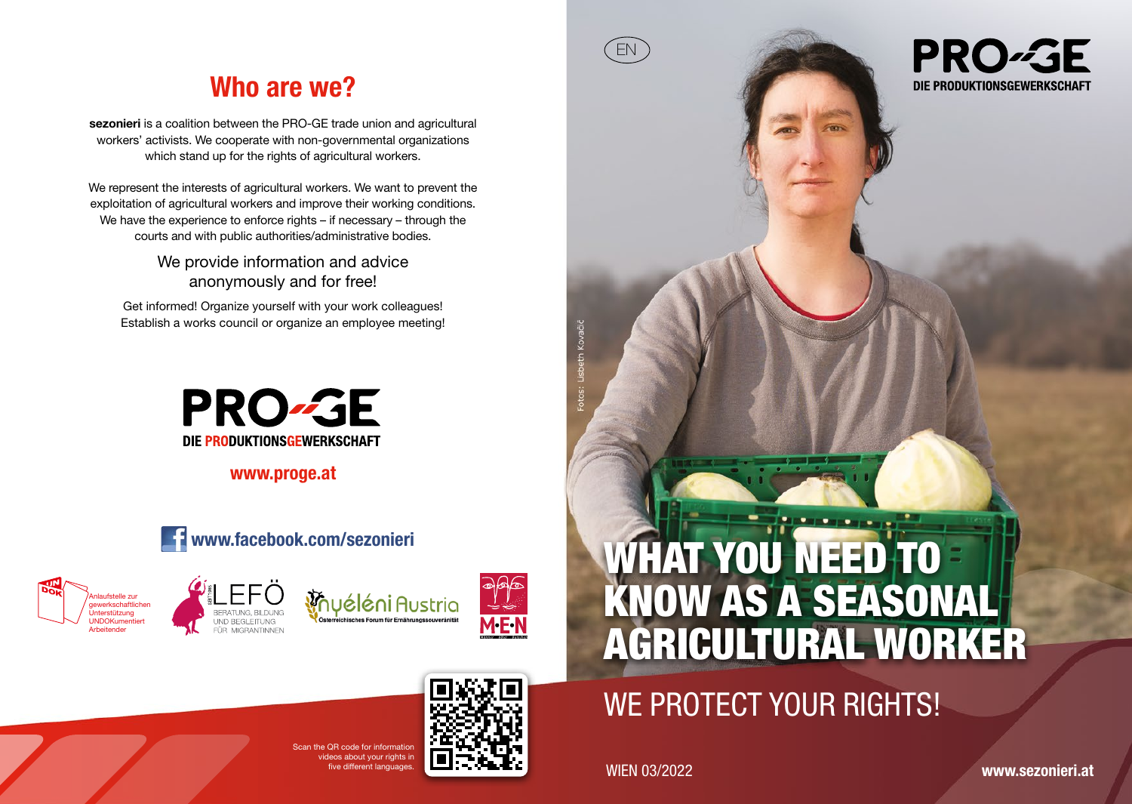## Who are we?

sezonieri is a coalition between the PRO-GE trade union and agricultural workers' activists. We cooperate with non-governmental organizations which stand up for the rights of agricultural workers.

We represent the interests of agricultural workers. We want to prevent the exploitation of agricultural workers and improve their working conditions. We have the experience to enforce rights – if necessary – through the courts and with public authorities/administrative bodies.

> We provide information and advice anonymously and for free!

Get informed! Organize yourself with your work colleagues! Establish a works council or organize an employee meeting!



www.proge.at









# WHAT YOU NEED TO KNOW AS A SEASONAL AGRICULTURAL WORKER

# WE PROTECT YOUR RIGHTS!

ive different languages. WIEN 03/2022

EN

**PRO-GE** DIE PRODUKTIONSGEWERKSCHAFT

www.sezonieri.at

 $S_{\text{S}} \cap B$  and for information ideos about your rights in